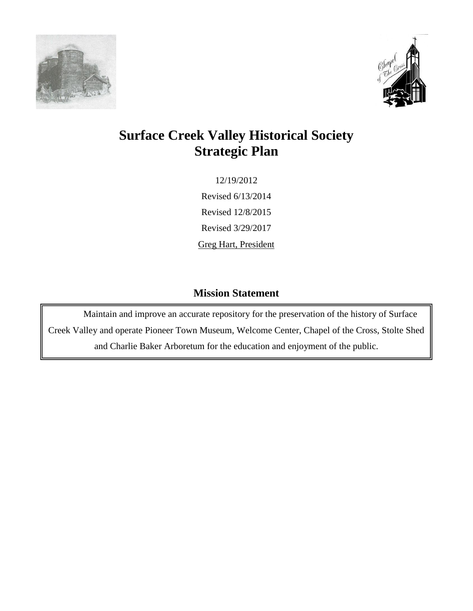



# **Surface Creek Valley Historical Society Strategic Plan**

12/19/2012 Revised 6/13/2014 Revised 12/8/2015 Revised 3/29/2017 Greg Hart, President

## **Mission Statement**

Maintain and improve an accurate repository for the preservation of the history of Surface Creek Valley and operate Pioneer Town Museum, Welcome Center, Chapel of the Cross, Stolte Shed and Charlie Baker Arboretum for the education and enjoyment of the public.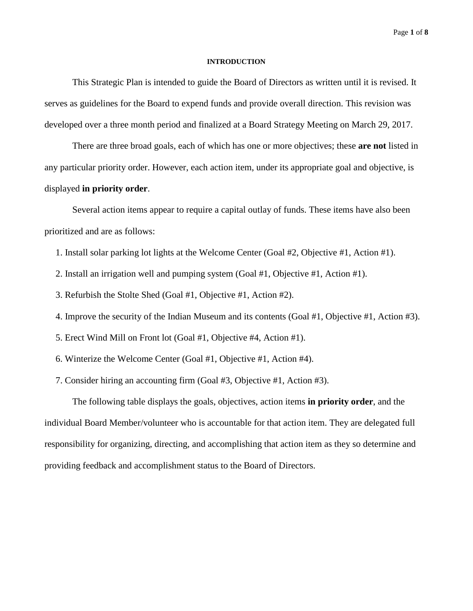#### **INTRODUCTION**

This Strategic Plan is intended to guide the Board of Directors as written until it is revised. It serves as guidelines for the Board to expend funds and provide overall direction. This revision was developed over a three month period and finalized at a Board Strategy Meeting on March 29, 2017.

There are three broad goals, each of which has one or more objectives; these **are not** listed in any particular priority order. However, each action item, under its appropriate goal and objective, is displayed **in priority order**.

Several action items appear to require a capital outlay of funds. These items have also been prioritized and are as follows:

- 1. Install solar parking lot lights at the Welcome Center (Goal #2, Objective #1, Action #1).
- 2. Install an irrigation well and pumping system (Goal #1, Objective #1, Action #1).
- 3. Refurbish the Stolte Shed (Goal #1, Objective #1, Action #2).
- 4. Improve the security of the Indian Museum and its contents (Goal #1, Objective #1, Action #3).
- 5. Erect Wind Mill on Front lot (Goal #1, Objective #4, Action #1).
- 6. Winterize the Welcome Center (Goal #1, Objective #1, Action #4).
- 7. Consider hiring an accounting firm (Goal #3, Objective #1, Action #3).

The following table displays the goals, objectives, action items **in priority order**, and the individual Board Member/volunteer who is accountable for that action item. They are delegated full responsibility for organizing, directing, and accomplishing that action item as they so determine and providing feedback and accomplishment status to the Board of Directors.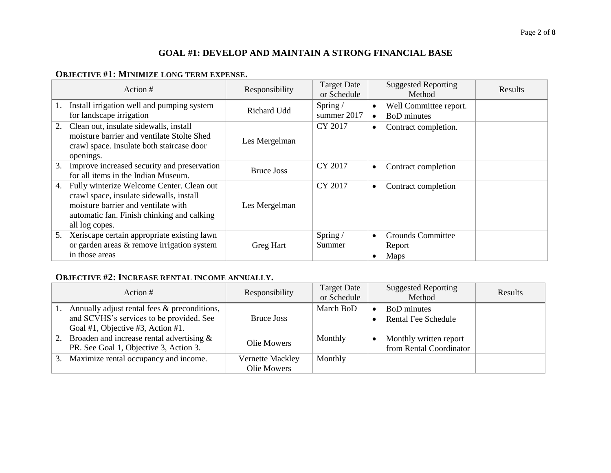## **GOAL #1: DEVELOP AND MAINTAIN A STRONG FINANCIAL BASE**

#### **OBJECTIVE #1: MINIMIZE LONG TERM EXPENSE.**

| Action #                                                                                                                                                                                           | Responsibility    | <b>Target Date</b><br>or Schedule | <b>Suggested Reporting</b><br>Method                                   | Results |
|----------------------------------------------------------------------------------------------------------------------------------------------------------------------------------------------------|-------------------|-----------------------------------|------------------------------------------------------------------------|---------|
| Install irrigation well and pumping system<br>for landscape irrigation                                                                                                                             | Richard Udd       | Spring/<br>summer 2017            | Well Committee report.<br>$\bullet$<br><b>BoD</b> minutes<br>$\bullet$ |         |
| Clean out, insulate sidewalls, install<br>2.<br>moisture barrier and ventilate Stolte Shed<br>crawl space. Insulate both staircase door<br>openings.                                               | Les Mergelman     | CY 2017                           | Contract completion.<br>$\bullet$                                      |         |
| Improve increased security and preservation<br>3.<br>for all items in the Indian Museum.                                                                                                           | <b>Bruce Joss</b> | CY 2017                           | Contract completion<br>$\bullet$                                       |         |
| Fully winterize Welcome Center. Clean out<br>4.<br>crawl space, insulate sidewalls, install<br>moisture barrier and ventilate with<br>automatic fan. Finish chinking and calking<br>all log copes. | Les Mergelman     | CY 2017                           | Contract completion<br>$\bullet$                                       |         |
| Xeriscape certain appropriate existing lawn<br>5.<br>or garden areas & remove irrigation system<br>in those areas                                                                                  | Greg Hart         | Spring/<br>Summer                 | <b>Grounds Committee</b><br>$\bullet$<br>Report<br>Maps<br>$\bullet$   |         |

#### **OBJECTIVE #2: INCREASE RENTAL INCOME ANNUALLY.**

|    | Action #                                     | Responsibility   | <b>Target Date</b><br>or Schedule | <b>Suggested Reporting</b><br>Method | Results |
|----|----------------------------------------------|------------------|-----------------------------------|--------------------------------------|---------|
|    | Annually adjust rental fees & preconditions, |                  | March BoD                         | <b>BoD</b> minutes<br>$\bullet$      |         |
|    | and SCVHS's services to be provided. See     | Bruce Joss       |                                   | <b>Rental Fee Schedule</b>           |         |
|    | Goal #1, Objective #3, Action #1.            |                  |                                   |                                      |         |
| 2. | Broaden and increase rental advertising &    | Olie Mowers      | Monthly                           | Monthly written report               |         |
|    | PR. See Goal 1, Objective 3, Action 3.       |                  |                                   | from Rental Coordinator              |         |
| 3. | Maximize rental occupancy and income.        | Vernette Mackley | Monthly                           |                                      |         |
|    |                                              | Olie Mowers      |                                   |                                      |         |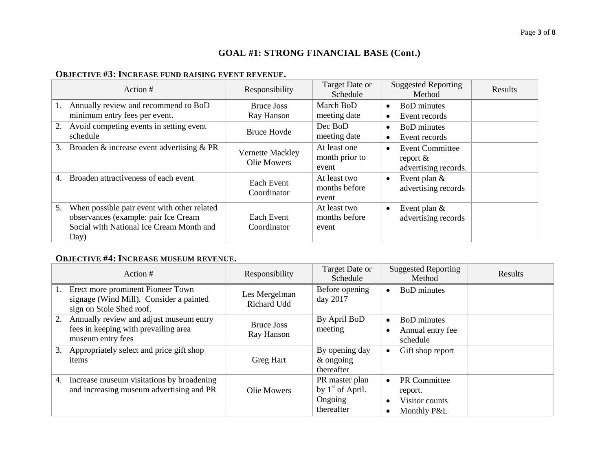## **GOAL #1: STRONG FINANCIAL BASE (Cont.)**

#### **OBJECTIVE #3: INCREASE FUND RAISING EVENT REVENUE.**

| Action $#$                                        | Responsibility     | Target Date or<br>Schedule | <b>Suggested Reporting</b><br>Method | <b>Results</b> |
|---------------------------------------------------|--------------------|----------------------------|--------------------------------------|----------------|
| Annually review and recommend to BoD<br>1.        | <b>Bruce Joss</b>  | March BoD                  | <b>BoD</b> minutes<br>$\bullet$      |                |
| minimum entry fees per event.                     | Ray Hanson         | meeting date               | Event records<br>$\bullet$           |                |
| Avoid competing events in setting event<br>2.     | <b>Bruce Hovde</b> | Dec BoD                    | <b>BoD</b> minutes<br>$\bullet$      |                |
| schedule                                          |                    | meeting date               | Event records<br>$\bullet$           |                |
| Broaden & increase event advertising & PR<br>3.   | Vernette Mackley   | At least one               | <b>Event Committee</b><br>$\bullet$  |                |
|                                                   | Olie Mowers        | month prior to             | report $\&$                          |                |
|                                                   |                    | event                      | advertising records.                 |                |
| Broaden attractiveness of each event<br>4.        | Each Event         | At least two               | Event plan $&$<br>$\bullet$          |                |
|                                                   | Coordinator        | months before              | advertising records                  |                |
|                                                   |                    | event                      |                                      |                |
| When possible pair event with other related<br>5. |                    | At least two               | Event plan $&$<br>$\bullet$          |                |
| observances (example: pair Ice Cream              | Each Event         | months before              | advertising records                  |                |
| Social with National Ice Cream Month and          | Coordinator        | event                      |                                      |                |
| Day)                                              |                    |                            |                                      |                |

## **OBJECTIVE #4: INCREASE MUSEUM REVENUE.**

| Action #                                                                                                       | Responsibility                  | Target Date or<br>Schedule                                    | <b>Suggested Reporting</b><br>Method                                         | Results |
|----------------------------------------------------------------------------------------------------------------|---------------------------------|---------------------------------------------------------------|------------------------------------------------------------------------------|---------|
| Erect more prominent Pioneer Town<br>1.<br>signage (Wind Mill). Consider a painted<br>sign on Stole Shed roof. | Les Mergelman<br>Richard Udd    | Before opening<br>day 2017                                    | <b>BoD</b> minutes                                                           |         |
| Annually review and adjust museum entry<br>2.<br>fees in keeping with prevailing area<br>museum entry fees     | <b>Bruce Joss</b><br>Ray Hanson | By April BoD<br>meeting                                       | <b>BoD</b> minutes<br>Annual entry fee<br>schedule                           |         |
| Appropriately select and price gift shop<br>3.<br>items                                                        | <b>Greg Hart</b>                | By opening day<br>$\&$ ongoing<br>thereafter                  | Gift shop report<br>$\bullet$                                                |         |
| Increase museum visitations by broadening<br>4.<br>and increasing museum advertising and PR                    | Olie Mowers                     | PR master plan<br>by $1st$ of April.<br>Ongoing<br>thereafter | <b>PR</b> Committee<br>$\bullet$<br>report.<br>Visitor counts<br>Monthly P&L |         |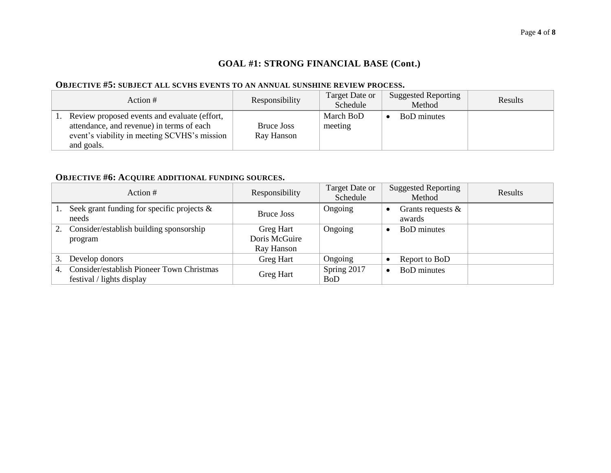#### **GOAL #1: STRONG FINANCIAL BASE (Cont.)**

#### **OBJECTIVE #5: SUBJECT ALL SCVHS EVENTS TO AN ANNUAL SUNSHINE REVIEW PROCESS.**

| Action #                                                                                                                                                | Responsibility           | Target Date or<br>Schedule | <b>Suggested Reporting</b><br>Method | Results |
|---------------------------------------------------------------------------------------------------------------------------------------------------------|--------------------------|----------------------------|--------------------------------------|---------|
| Review proposed events and evaluate (effort,<br>attendance, and revenue) in terms of each<br>event's viability in meeting SCVHS's mission<br>and goals. | Bruce Joss<br>Ray Hanson | March BoD<br>meeting       | <b>BoD</b> minutes                   |         |

#### **OBJECTIVE #6: ACQUIRE ADDITIONAL FUNDING SOURCES.**

|    | Action #                                                                  | Responsibility                           | Target Date or<br>Schedule | <b>Suggested Reporting</b><br>Method | Results |
|----|---------------------------------------------------------------------------|------------------------------------------|----------------------------|--------------------------------------|---------|
|    | Seek grant funding for specific projects $\&$<br>needs                    | <b>Bruce Joss</b>                        | Ongoing                    | Grants requests $\&$<br>awards       |         |
| 2. | Consider/establish building sponsorship<br>program                        | Greg Hart<br>Doris McGuire<br>Ray Hanson | Ongoing                    | <b>BoD</b> minutes                   |         |
| 3. | Develop donors                                                            | Greg Hart                                | Ongoing                    | Report to BoD                        |         |
|    | 4. Consider/establish Pioneer Town Christmas<br>festival / lights display | Greg Hart                                | Spring 2017<br><b>BoD</b>  | <b>BoD</b> minutes                   |         |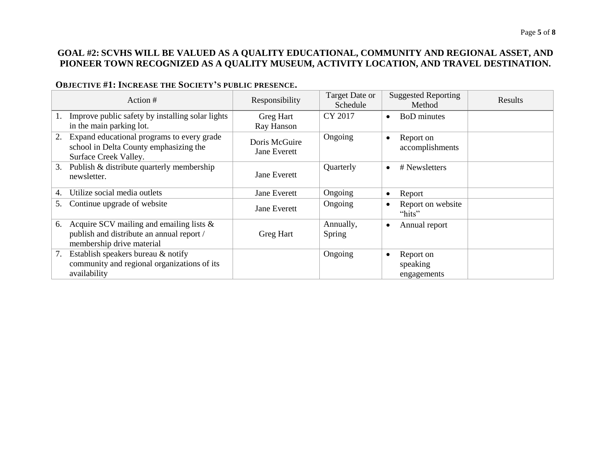#### **GOAL #2: SCVHS WILL BE VALUED AS A QUALITY EDUCATIONAL, COMMUNITY AND REGIONAL ASSET, AND PIONEER TOWN RECOGNIZED AS A QUALITY MUSEUM, ACTIVITY LOCATION, AND TRAVEL DESTINATION.**

#### **OBJECTIVE #1: INCREASE THE SOCIETY'S PUBLIC PRESENCE.**

| Action #                                                                                                                    | Responsibility                       | Target Date or<br>Schedule | <b>Suggested Reporting</b><br>Method      | Results |
|-----------------------------------------------------------------------------------------------------------------------------|--------------------------------------|----------------------------|-------------------------------------------|---------|
| Improve public safety by installing solar lights<br>1.<br>in the main parking lot.                                          | Greg Hart<br>Ray Hanson              | CY 2017                    | <b>BoD</b> minutes<br>$\bullet$           |         |
| Expand educational programs to every grade<br>2.<br>school in Delta County emphasizing the<br>Surface Creek Valley.         | Doris McGuire<br><b>Jane Everett</b> | Ongoing                    | Report on<br>$\bullet$<br>accomplishments |         |
| Publish & distribute quarterly membership<br>3.<br>newsletter.                                                              | <b>Jane Everett</b>                  | Quarterly                  | # Newsletters<br>$\bullet$                |         |
| Utilize social media outlets<br>4.                                                                                          | <b>Jane Everett</b>                  | Ongoing                    | Report<br>$\bullet$                       |         |
| Continue upgrade of website<br>5.                                                                                           | <b>Jane Everett</b>                  | Ongoing                    | Report on website<br>"hits"               |         |
| Acquire SCV mailing and emailing lists $\&$<br>6.<br>publish and distribute an annual report /<br>membership drive material | Greg Hart                            | Annually,<br>Spring        | Annual report<br>٠                        |         |
| Establish speakers bureau & notify<br>7.<br>community and regional organizations of its<br>availability                     |                                      | Ongoing                    | Report on<br>٠<br>speaking<br>engagements |         |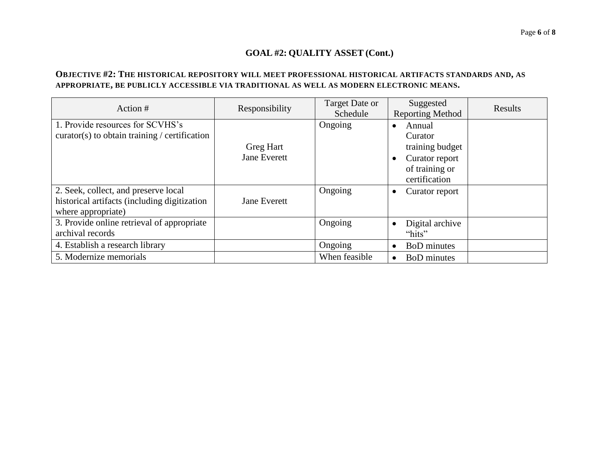#### **GOAL #2: QUALITY ASSET (Cont.)**

#### **OBJECTIVE #2: THE HISTORICAL REPOSITORY WILL MEET PROFESSIONAL HISTORICAL ARTIFACTS STANDARDS AND, AS APPROPRIATE, BE PUBLICLY ACCESSIBLE VIA TRADITIONAL AS WELL AS MODERN ELECTRONIC MEANS.**

| Action #                                                                                                   | Responsibility                          | Target Date or<br>Schedule | Suggested<br><b>Reporting Method</b>                                                      | Results |
|------------------------------------------------------------------------------------------------------------|-----------------------------------------|----------------------------|-------------------------------------------------------------------------------------------|---------|
| 1. Provide resources for SCVHS's<br>curator(s) to obtain training / certification                          | <b>Greg Hart</b><br><b>Jane Everett</b> | Ongoing                    | Annual<br>Curator<br>training budget<br>Curator report<br>of training or<br>certification |         |
| 2. Seek, collect, and preserve local<br>historical artifacts (including digitization<br>where appropriate) | <b>Jane Everett</b>                     | Ongoing                    | Curator report                                                                            |         |
| 3. Provide online retrieval of appropriate<br>archival records                                             |                                         | Ongoing                    | Digital archive<br>"hits"                                                                 |         |
| 4. Establish a research library                                                                            |                                         | Ongoing                    | <b>BoD</b> minutes<br>$\bullet$                                                           |         |
| 5. Modernize memorials                                                                                     |                                         | When feasible              | <b>BoD</b> minutes                                                                        |         |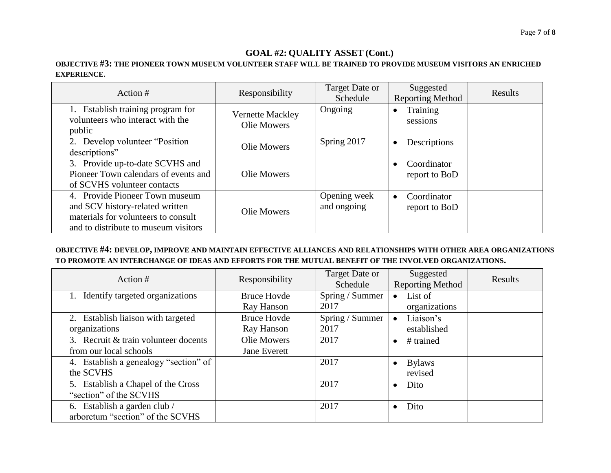### **GOAL #2: QUALITY ASSET (Cont.)**

#### **OBJECTIVE #3: THE PIONEER TOWN MUSEUM VOLUNTEER STAFF WILL BE TRAINED TO PROVIDE MUSEUM VISITORS AN ENRICHED EXPERIENCE**.

| Action #                                                                                                                                         | Responsibility                         | Target Date or<br>Schedule  | Suggested<br><b>Reporting Method</b>      | Results |
|--------------------------------------------------------------------------------------------------------------------------------------------------|----------------------------------------|-----------------------------|-------------------------------------------|---------|
| 1. Establish training program for<br>volunteers who interact with the<br>public                                                                  | Vernette Mackley<br><b>Olie Mowers</b> | Ongoing                     | Training<br>sessions                      |         |
| 2. Develop volunteer "Position"<br>descriptions"                                                                                                 | Olie Mowers                            | Spring 2017                 | Descriptions                              |         |
| 3. Provide up-to-date SCVHS and<br>Pioneer Town calendars of events and<br>of SCVHS volunteer contacts                                           | Olie Mowers                            |                             | Coordinator<br>report to BoD              |         |
| 4. Provide Pioneer Town museum<br>and SCV history-related written<br>materials for volunteers to consult<br>and to distribute to museum visitors | Olie Mowers                            | Opening week<br>and ongoing | Coordinator<br>$\bullet$<br>report to BoD |         |

#### **OBJECTIVE #4: DEVELOP, IMPROVE AND MAINTAIN EFFECTIVE ALLIANCES AND RELATIONSHIPS WITH OTHER AREA ORGANIZATIONS TO PROMOTE AN INTERCHANGE OF IDEAS AND EFFORTS FOR THE MUTUAL BENEFIT OF THE INVOLVED ORGANIZATIONS.**

| Action #                                           | Responsibility      | Target Date or<br>Schedule | Suggested<br><b>Reporting Method</b> | Results |
|----------------------------------------------------|---------------------|----------------------------|--------------------------------------|---------|
| 1. Identify targeted organizations                 | <b>Bruce Hovde</b>  | Spring / Summer            | List of<br>$\bullet$                 |         |
|                                                    | Ray Hanson          | 2017                       | organizations                        |         |
| 2. Establish liaison with targeted                 | <b>Bruce Hovde</b>  | Spring / Summer            | Liaison's<br>$\bullet$               |         |
| organizations                                      | Ray Hanson          | 2017                       | established                          |         |
| $\overline{3}$ . Recruit & train volunteer docents | Olie Mowers         | 2017                       | # trained<br>$\bullet$               |         |
| from our local schools                             | <b>Jane Everett</b> |                            |                                      |         |
| 4. Establish a genealogy "section" of              |                     | 2017                       | <b>Bylaws</b>                        |         |
| the SCVHS                                          |                     |                            | revised                              |         |
| 5. Establish a Chapel of the Cross                 |                     | 2017                       | Dito<br>$\bullet$                    |         |
| "section" of the SCVHS                             |                     |                            |                                      |         |
| 6. Establish a garden club /                       |                     | 2017                       | Dito<br>$\bullet$                    |         |
| arboretum "section" of the SCVHS                   |                     |                            |                                      |         |